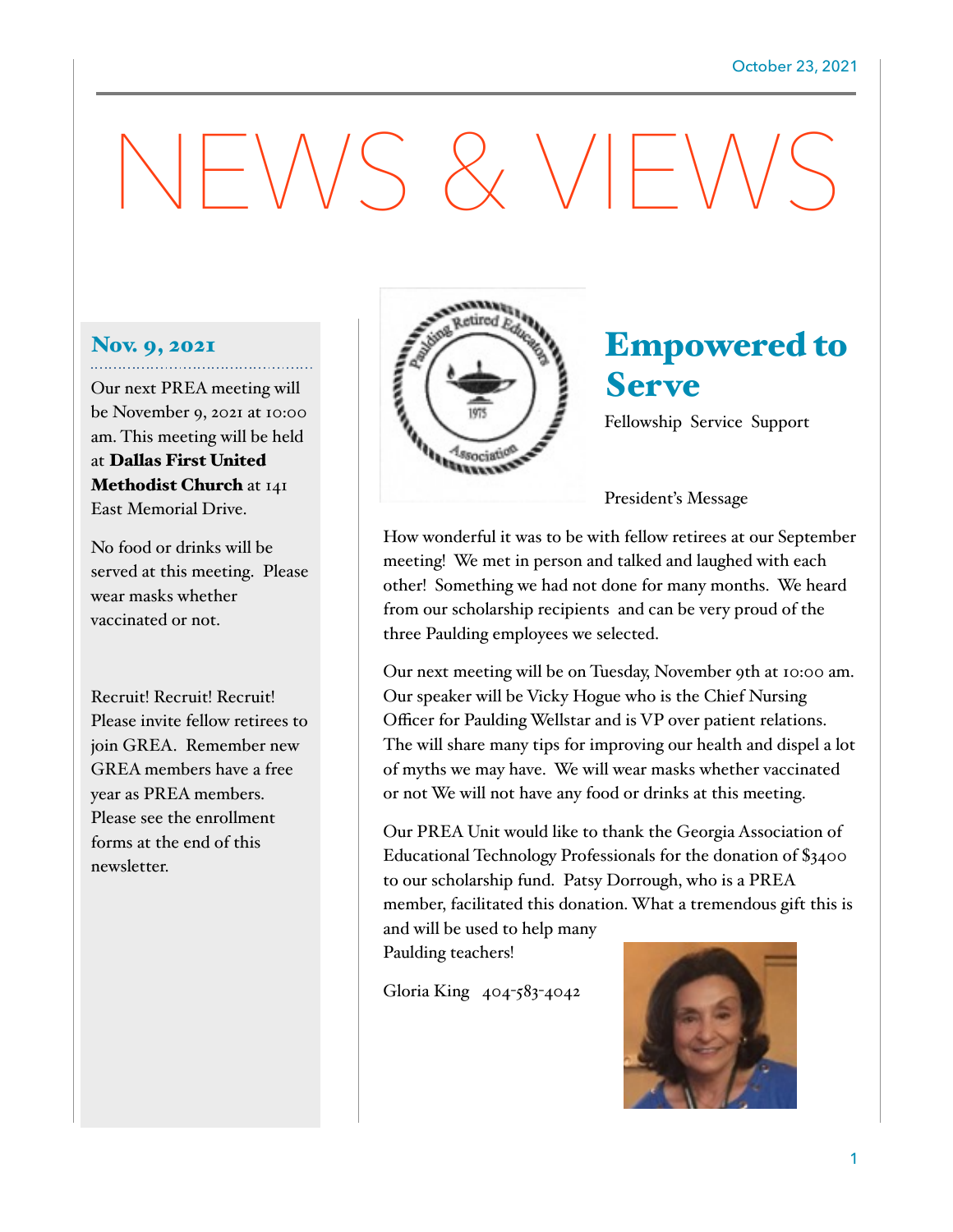# NEWS & VIEWS

### Nov. 9, 2021

Our next PREA meeting will be November 9, 2021 at 10:00 am. This meeting will be held at Dallas First United Methodist Church at 141 East Memorial Drive.

No food or drinks will be served at this meeting. Please wear masks whether vaccinated or not.

Recruit! Recruit! Recruit! Please invite fellow retirees to join GREA. Remember new GREA members have a free year as PREA members. Please see the enrollment forms at the end of this newsletter.



# Empowered to Serve

Fellowship Service Support

President's Message

How wonderful it was to be with fellow retirees at our September meeting! We met in person and talked and laughed with each other! Something we had not done for many months. We heard from our scholarship recipients and can be very proud of the three Paulding employees we selected.

Our next meeting will be on Tuesday, November 9th at 10:00 am. Our speaker will be Vicky Hogue who is the Chief Nursing Officer for Paulding Wellstar and is VP over patient relations. The will share many tips for improving our health and dispel a lot of myths we may have. We will wear masks whether vaccinated or not We will not have any food or drinks at this meeting.

Our PREA Unit would like to thank the Georgia Association of Educational Technology Professionals for the donation of \$3400 to our scholarship fund. Patsy Dorrough, who is a PREA member, facilitated this donation. What a tremendous gift this is and will be used to help many

Paulding teachers!

Gloria King 404-583-4042

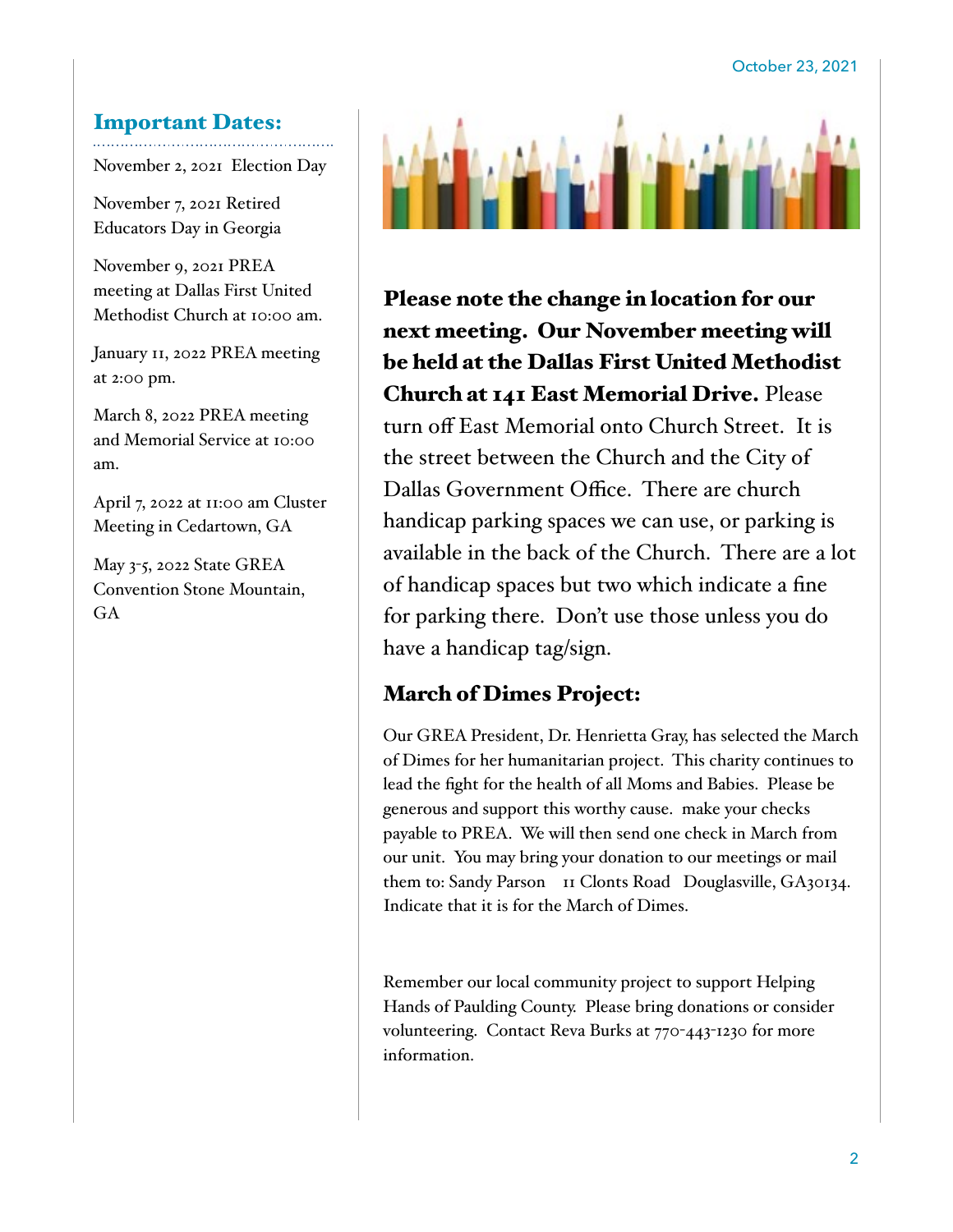#### Important Dates:

November 2, 2021 Election Day

November 7, 2021 Retired Educators Day in Georgia

November 9, 2021 PREA meeting at Dallas First United Methodist Church at 10:00 am.

January 11, 2022 PREA meeting at 2:00 pm.

March 8, 2022 PREA meeting and Memorial Service at 10:00 am.

April 7, 2022 at 11:00 am Cluster Meeting in Cedartown, GA

May 3-5, 2022 State GREA Convention Stone Mountain, GA



Please note the change in location for our next meeting. Our November meeting will be held at the Dallas First United Methodist Church at 141 East Memorial Drive. Please turn off East Memorial onto Church Street. It is the street between the Church and the City of Dallas Government Office. There are church handicap parking spaces we can use, or parking is available in the back of the Church. There are a lot of handicap spaces but two which indicate a fine for parking there. Don't use those unless you do have a handicap tag/sign.

## March of Dimes Project:

Our GREA President, Dr. Henrietta Gray, has selected the March of Dimes for her humanitarian project. This charity continues to lead the fight for the health of all Moms and Babies. Please be generous and support this worthy cause. make your checks payable to PREA. We will then send one check in March from our unit. You may bring your donation to our meetings or mail them to: Sandy Parson II Clonts Road Douglasville, GA30134. Indicate that it is for the March of Dimes.

Remember our local community project to support Helping Hands of Paulding County. Please bring donations or consider volunteering. Contact Reva Burks at 770-443-1230 for more information.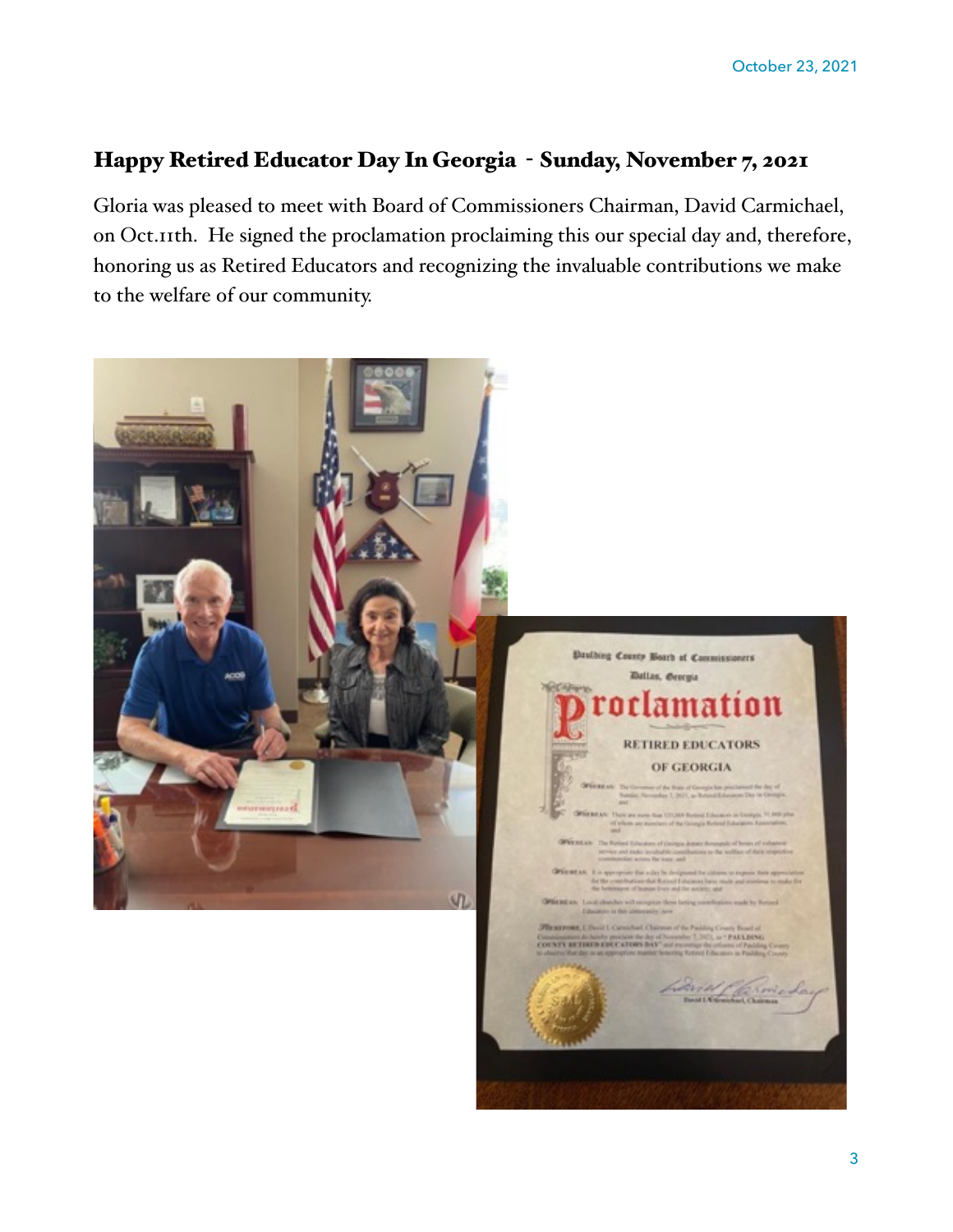# Happy Retired Educator Day In Georgia - Sunday, November 7, 2021

Gloria was pleased to meet with Board of Commissioners Chairman, David Carmichael, on Oct.11th. He signed the proclamation proclaiming this our special day and, therefore, honoring us as Retired Educators and recognizing the invaluable contributions we make to the welfare of our community.